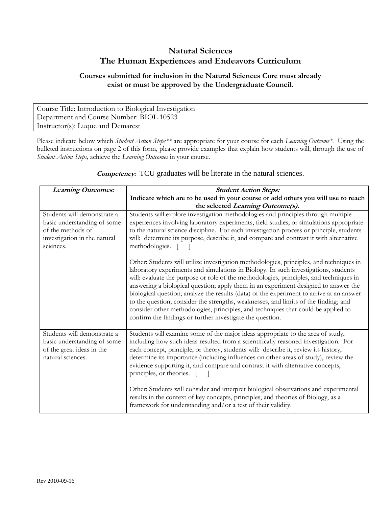## **Natural Sciences The Human Experiences and Endeavors Curriculum**

## **Courses submitted for inclusion in the Natural Sciences Core must already exist or must be approved by the Undergraduate Council.**

Course Title: Introduction to Biological Investigation Department and Course Number: BIOL 10523 Instructor(s): Luque and Demarest

Please indicate below which *Student Action Steps\*\** are appropriate for your course for each *Learning Outcome\**. Using the bulleted instructions on page 2 of this form, please provide examples that explain how students will, through the use of *Student Action Steps,* achieve the *Learning Outcomes* in your course.

| <b>Learning Outcomes:</b>                                                                                                    | <b>Student Action Steps:</b>                                                                                                                                                                                                                                                                                                                                                                                                                                                                                                                                                                                                                                                                         |
|------------------------------------------------------------------------------------------------------------------------------|------------------------------------------------------------------------------------------------------------------------------------------------------------------------------------------------------------------------------------------------------------------------------------------------------------------------------------------------------------------------------------------------------------------------------------------------------------------------------------------------------------------------------------------------------------------------------------------------------------------------------------------------------------------------------------------------------|
|                                                                                                                              | Indicate which are to be used in your course or add others you will use to reach<br>the selected Learning Outcome(s).                                                                                                                                                                                                                                                                                                                                                                                                                                                                                                                                                                                |
| Students will demonstrate a<br>basic understanding of some<br>of the methods of<br>investigation in the natural<br>sciences. | Students will explore investigation methodologies and principles through multiple<br>experiences involving laboratory experiments, field studies, or simulations appropriate<br>to the natural science discipline. For each investigation process or principle, students<br>will: determine its purpose, describe it, and compare and contrast it with alternative<br>methodologies.                                                                                                                                                                                                                                                                                                                 |
|                                                                                                                              | Other: Students will utilize investigation methodologies, principles, and techniques in<br>laboratory experiments and simulations in Biology. In such investigations, students<br>will: evaluate the purpose or role of the methodologies, principles, and techniques in<br>answering a biological question; apply them in an experiment designed to answer the<br>biological question; analyze the results (data) of the experiment to arrive at an answer<br>to the question; consider the strengths, weaknesses, and limits of the finding; and<br>consider other methodologies, principles, and techniques that could be applied to<br>confirm the findings or further investigate the question. |
| Students will demonstrate a<br>basic understanding of some<br>of the great ideas in the<br>natural sciences.                 | Students will examine some of the major ideas appropriate to the area of study,<br>including how such ideas resulted from a scientifically reasoned investigation. For<br>each concept, principle, or theory, students will: describe it, review its history,<br>determine its importance (including influences on other areas of study), review the<br>evidence supporting it, and compare and contrast it with alternative concepts,<br>principles, or theories. [                                                                                                                                                                                                                                 |
|                                                                                                                              | Other: Students will consider and interpret biological observations and experimental<br>results in the context of key concepts, principles, and theories of Biology, as a<br>framework for understanding and/or a test of their validity.                                                                                                                                                                                                                                                                                                                                                                                                                                                            |

**Competency:** TCU graduates will be literate in the natural sciences.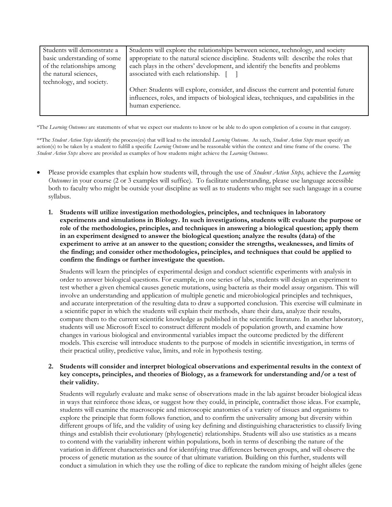| Students will demonstrate a | Students will explore the relationships between science, technology, and society                                                                                                                     |
|-----------------------------|------------------------------------------------------------------------------------------------------------------------------------------------------------------------------------------------------|
| basic understanding of some | appropriate to the natural science discipline. Students will: describe the roles that                                                                                                                |
| of the relationships among  | each plays in the others' development, and identify the benefits and problems                                                                                                                        |
| the natural sciences,       | associated with each relationship. [ ]                                                                                                                                                               |
| technology, and society.    |                                                                                                                                                                                                      |
|                             | Other: Students will explore, consider, and discuss the current and potential future<br>influences, roles, and impacts of biological ideas, techniques, and capabilities in the<br>human experience. |
|                             |                                                                                                                                                                                                      |

\*The *Learning Outcomes* are statements of what we expect our students to know or be able to do upon completion of a course in that category.

\*\*The *Student Action Steps* identify the process(es) that will lead to the intended *Learning Outcome*. As such, *Student Action Steps* must specify an action(s) to be taken by a student to fulfill a specific *Learning Outcome* and be reasonable within the context and time frame of the course. The *Student Action Steps* above are provided as examples of how students might achieve the *Learning Outcomes*.

- Please provide examples that explain how students will, through the use of *Student Action Steps,* achieve the *Learning Outcomes* in your course (2 or 3 examples will suffice). To facilitate understanding, please use language accessible both to faculty who might be outside your discipline as well as to students who might see such language in a course syllabus.
	- **1. Students will utilize investigation methodologies, principles, and techniques in laboratory experiments and simulations in Biology. In such investigations, students will: evaluate the purpose or role of the methodologies, principles, and techniques in answering a biological question; apply them in an experiment designed to answer the biological question; analyze the results (data) of the experiment to arrive at an answer to the question; consider the strengths, weaknesses, and limits of the finding; and consider other methodologies, principles, and techniques that could be applied to confirm the findings or further investigate the question.**

Students will learn the principles of experimental design and conduct scientific experiments with analysis in order to answer biological questions. For example, in one series of labs, students will design an experiment to test whether a given chemical causes genetic mutations, using bacteria as their model assay organism. This will involve an understanding and application of multiple genetic and microbiological principles and techniques, and accurate interpretation of the resulting data to draw a supported conclusion. This exercise will culminate in a scientific paper in which the students will explain their methods, share their data, analyze their results, compare them to the current scientific knowledge as published in the scientific literature. In another laboratory, students will use Microsoft Excel to construct different models of population growth, and examine how changes in various biological and environmental variables impact the outcome predicted by the different models. This exercise will introduce students to the purpose of models in scientific investigation, in terms of their practical utility, predictive value, limits, and role in hypothesis testing.

## **2. Students will consider and interpret biological observations and experimental results in the context of key concepts, principles, and theories of Biology, as a framework for understanding and/or a test of their validity.**

Students will regularly evaluate and make sense of observations made in the lab against broader biological ideas in ways that reinforce those ideas, or suggest how they could, in principle, contradict those ideas. For example, students will examine the macroscopic and microscopic anatomies of a variety of tissues and organisms to explore the principle that form follows function, and to confirm the universality among but diversity within different groups of life, and the validity of using key defining and distinguishing characteristics to classify living things and establish their evolutionary (phylogenetic) relationships. Students will also use statistics as a means to contend with the variability inherent within populations, both in terms of describing the nature of the variation in different characteristics and for identifying true differences between groups, and will observe the process of genetic mutation as the source of that ultimate variation. Building on this further, students will conduct a simulation in which they use the rolling of dice to replicate the random mixing of height alleles (gene